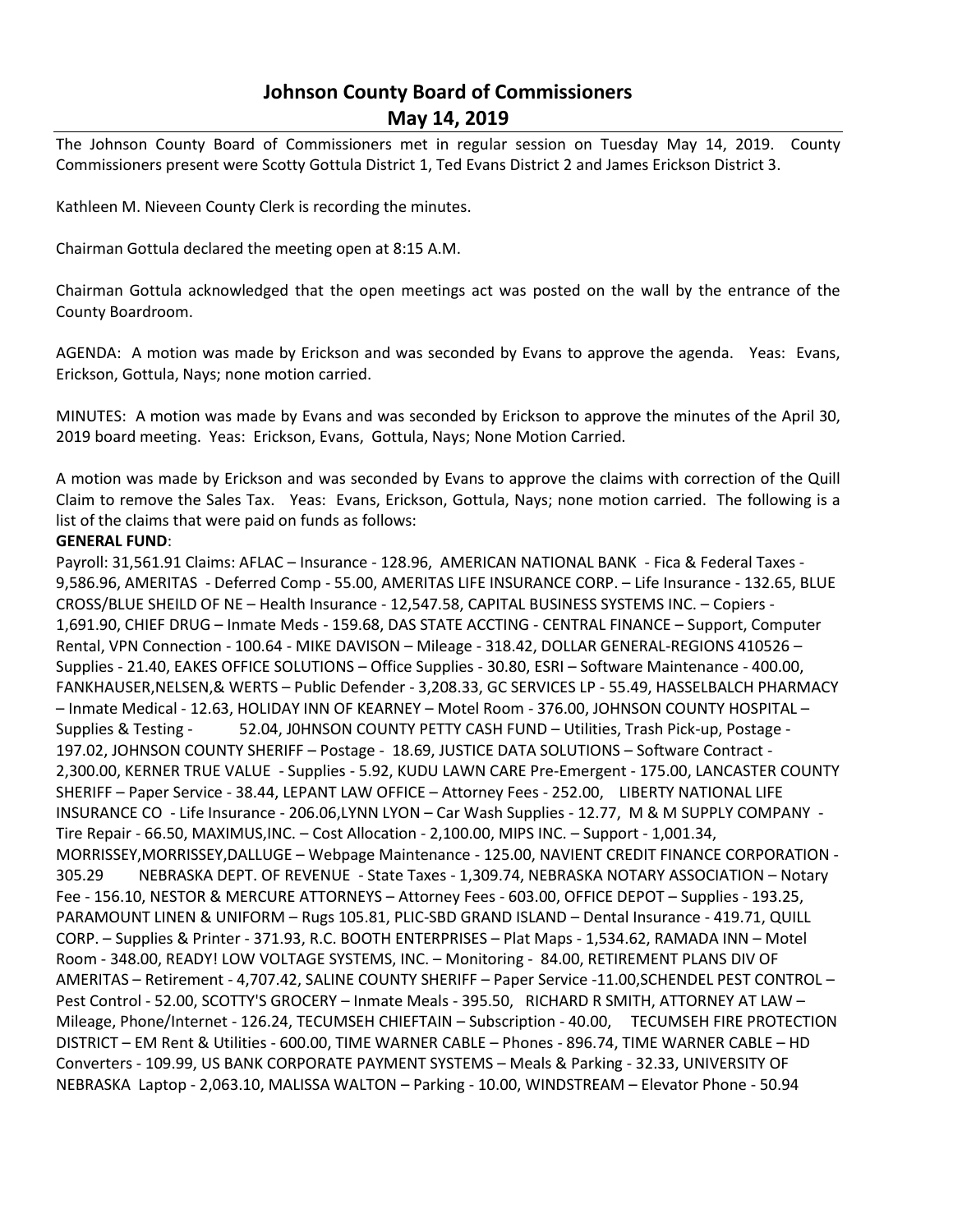# **Johnson County Board of Commissioners May 14, 2019**

The Johnson County Board of Commissioners met in regular session on Tuesday May 14, 2019. County Commissioners present were Scotty Gottula District 1, Ted Evans District 2 and James Erickson District 3.

Kathleen M. Nieveen County Clerk is recording the minutes.

Chairman Gottula declared the meeting open at 8:15 A.M.

Chairman Gottula acknowledged that the open meetings act was posted on the wall by the entrance of the County Boardroom.

AGENDA: A motion was made by Erickson and was seconded by Evans to approve the agenda. Yeas: Evans, Erickson, Gottula, Nays; none motion carried.

MINUTES: A motion was made by Evans and was seconded by Erickson to approve the minutes of the April 30, 2019 board meeting. Yeas: Erickson, Evans, Gottula, Nays; None Motion Carried.

A motion was made by Erickson and was seconded by Evans to approve the claims with correction of the Quill Claim to remove the Sales Tax. Yeas: Evans, Erickson, Gottula, Nays; none motion carried. The following is a list of the claims that were paid on funds as follows:

### **GENERAL FUND**:

Payroll: 31,561.91 Claims: AFLAC – Insurance - 128.96, AMERICAN NATIONAL BANK - Fica & Federal Taxes - 9,586.96, AMERITAS - Deferred Comp - 55.00, AMERITAS LIFE INSURANCE CORP. – Life Insurance - 132.65, BLUE CROSS/BLUE SHEILD OF NE – Health Insurance - 12,547.58, CAPITAL BUSINESS SYSTEMS INC. – Copiers - 1,691.90, CHIEF DRUG – Inmate Meds - 159.68, DAS STATE ACCTING - CENTRAL FINANCE – Support, Computer Rental, VPN Connection - 100.64 - MIKE DAVISON – Mileage - 318.42, DOLLAR GENERAL-REGIONS 410526 – Supplies - 21.40, EAKES OFFICE SOLUTIONS – Office Supplies - 30.80, ESRI – Software Maintenance - 400.00, FANKHAUSER,NELSEN,& WERTS – Public Defender - 3,208.33, GC SERVICES LP - 55.49, HASSELBALCH PHARMACY – Inmate Medical - 12.63, HOLIDAY INN OF KEARNEY – Motel Room - 376.00, JOHNSON COUNTY HOSPITAL – Supplies & Testing - 52.04, J0HNSON COUNTY PETTY CASH FUND – Utilities, Trash Pick-up, Postage - 197.02, JOHNSON COUNTY SHERIFF – Postage - 18.69, JUSTICE DATA SOLUTIONS – Software Contract - 2,300.00, KERNER TRUE VALUE - Supplies - 5.92, KUDU LAWN CARE Pre-Emergent - 175.00, LANCASTER COUNTY SHERIFF – Paper Service - 38.44, LEPANT LAW OFFICE – Attorney Fees - 252.00, LIBERTY NATIONAL LIFE INSURANCE CO - Life Insurance - 206.06,LYNN LYON – Car Wash Supplies - 12.77, M & M SUPPLY COMPANY - Tire Repair - 66.50, MAXIMUS,INC. – Cost Allocation - 2,100.00, MIPS INC. – Support - 1,001.34, MORRISSEY,MORRISSEY,DALLUGE – Webpage Maintenance - 125.00, NAVIENT CREDIT FINANCE CORPORATION - 305.29 NEBRASKA DEPT. OF REVENUE - State Taxes - 1,309.74, NEBRASKA NOTARY ASSOCIATION – Notary Fee - 156.10, NESTOR & MERCURE ATTORNEYS – Attorney Fees - 603.00, OFFICE DEPOT – Supplies - 193.25, PARAMOUNT LINEN & UNIFORM – Rugs 105.81, PLIC-SBD GRAND ISLAND – Dental Insurance - 419.71, QUILL CORP. – Supplies & Printer - 371.93, R.C. BOOTH ENTERPRISES – Plat Maps - 1,534.62, RAMADA INN – Motel Room - 348.00, READY! LOW VOLTAGE SYSTEMS, INC. – Monitoring - 84.00, RETIREMENT PLANS DIV OF AMERITAS – Retirement - 4,707.42, SALINE COUNTY SHERIFF – Paper Service -11.00,SCHENDEL PEST CONTROL – Pest Control - 52.00, SCOTTY'S GROCERY – Inmate Meals - 395.50, RICHARD R SMITH, ATTORNEY AT LAW – Mileage, Phone/Internet - 126.24, TECUMSEH CHIEFTAIN – Subscription - 40.00, TECUMSEH FIRE PROTECTION DISTRICT – EM Rent & Utilities - 600.00, TIME WARNER CABLE – Phones - 896.74, TIME WARNER CABLE – HD Converters - 109.99, US BANK CORPORATE PAYMENT SYSTEMS – Meals & Parking - 32.33, UNIVERSITY OF NEBRASKA Laptop - 2,063.10, MALISSA WALTON – Parking - 10.00, WINDSTREAM – Elevator Phone - 50.94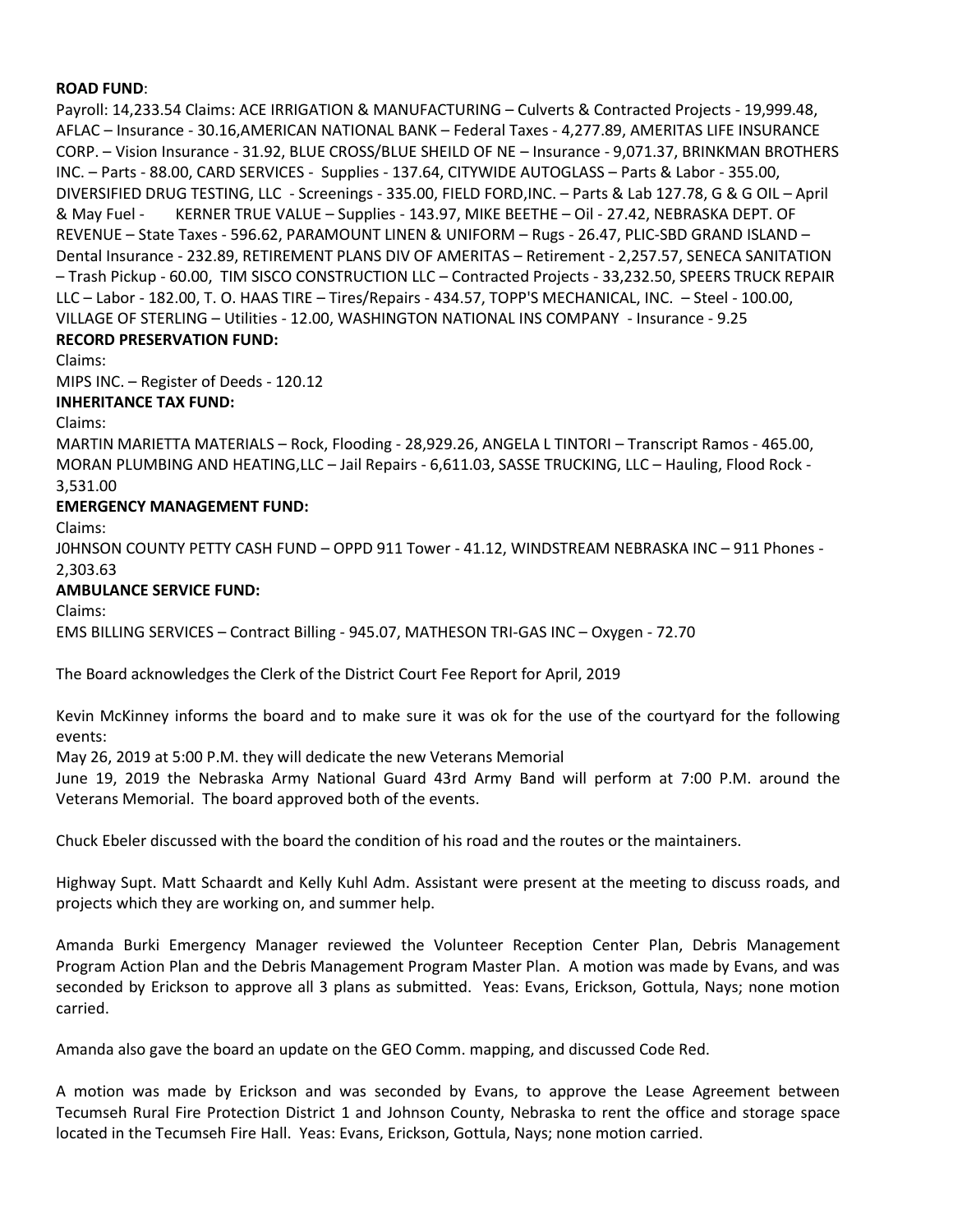#### **ROAD FUND**:

Payroll: 14,233.54 Claims: ACE IRRIGATION & MANUFACTURING – Culverts & Contracted Projects - 19,999.48, AFLAC – Insurance - 30.16,AMERICAN NATIONAL BANK – Federal Taxes - 4,277.89, AMERITAS LIFE INSURANCE CORP. – Vision Insurance - 31.92, BLUE CROSS/BLUE SHEILD OF NE – Insurance - 9,071.37, BRINKMAN BROTHERS INC. – Parts - 88.00, CARD SERVICES - Supplies - 137.64, CITYWIDE AUTOGLASS – Parts & Labor - 355.00, DIVERSIFIED DRUG TESTING, LLC - Screenings - 335.00, FIELD FORD,INC. – Parts & Lab 127.78, G & G OIL – April & May Fuel - KERNER TRUE VALUE – Supplies - 143.97, MIKE BEETHE – Oil - 27.42, NEBRASKA DEPT. OF REVENUE – State Taxes - 596.62, PARAMOUNT LINEN & UNIFORM – Rugs - 26.47, PLIC-SBD GRAND ISLAND – Dental Insurance - 232.89, RETIREMENT PLANS DIV OF AMERITAS – Retirement - 2,257.57, SENECA SANITATION – Trash Pickup - 60.00, TIM SISCO CONSTRUCTION LLC – Contracted Projects - 33,232.50, SPEERS TRUCK REPAIR LLC – Labor - 182.00, T. O. HAAS TIRE – Tires/Repairs - 434.57, TOPP'S MECHANICAL, INC. – Steel - 100.00, VILLAGE OF STERLING – Utilities - 12.00, WASHINGTON NATIONAL INS COMPANY - Insurance - 9.25 **RECORD PRESERVATION FUND:**

Claims:

MIPS INC. – Register of Deeds - 120.12

**INHERITANCE TAX FUND:**

Claims:

MARTIN MARIETTA MATERIALS – Rock, Flooding - 28,929.26, ANGELA L TINTORI – Transcript Ramos - 465.00, MORAN PLUMBING AND HEATING,LLC – Jail Repairs - 6,611.03, SASSE TRUCKING, LLC – Hauling, Flood Rock - 3,531.00

## **EMERGENCY MANAGEMENT FUND:**

Claims:

J0HNSON COUNTY PETTY CASH FUND – OPPD 911 Tower - 41.12, WINDSTREAM NEBRASKA INC – 911 Phones - 2,303.63

## **AMBULANCE SERVICE FUND:**

Claims:

EMS BILLING SERVICES – Contract Billing - 945.07, MATHESON TRI-GAS INC – Oxygen - 72.70

The Board acknowledges the Clerk of the District Court Fee Report for April, 2019

Kevin McKinney informs the board and to make sure it was ok for the use of the courtyard for the following events:

May 26, 2019 at 5:00 P.M. they will dedicate the new Veterans Memorial

June 19, 2019 the Nebraska Army National Guard 43rd Army Band will perform at 7:00 P.M. around the Veterans Memorial. The board approved both of the events.

Chuck Ebeler discussed with the board the condition of his road and the routes or the maintainers.

Highway Supt. Matt Schaardt and Kelly Kuhl Adm. Assistant were present at the meeting to discuss roads, and projects which they are working on, and summer help.

Amanda Burki Emergency Manager reviewed the Volunteer Reception Center Plan, Debris Management Program Action Plan and the Debris Management Program Master Plan. A motion was made by Evans, and was seconded by Erickson to approve all 3 plans as submitted. Yeas: Evans, Erickson, Gottula, Nays; none motion carried.

Amanda also gave the board an update on the GEO Comm. mapping, and discussed Code Red.

A motion was made by Erickson and was seconded by Evans, to approve the Lease Agreement between Tecumseh Rural Fire Protection District 1 and Johnson County, Nebraska to rent the office and storage space located in the Tecumseh Fire Hall. Yeas: Evans, Erickson, Gottula, Nays; none motion carried.